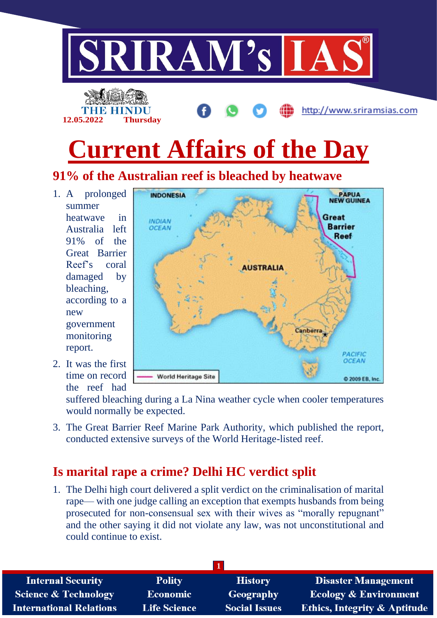

# **91% of the Australian reef is bleached by heatwave**

1. A prolonged summer heatwave in Australia left 91% of the Great Barrier Reef's coral damaged by bleaching, according to a new government monitoring report.

2. It was the first time on record the reef had

World Heritage Site © 2009 EB, Inc. suffered bleaching during a La Nina weather cycle when cooler temperatures

would normally be expected.

3. The Great Barrier Reef Marine Park Authority, which published the report, conducted extensive surveys of the World Heritage-listed reef.

## **Is marital rape a crime? Delhi HC verdict split**

1. The Delhi high court delivered a split verdict on the criminalisation of marital rape— with one judge calling an exception that exempts husbands from being prosecuted for non-consensual sex with their wives as "morally repugnant" and the other saying it did not violate any law, was not unconstitutional and could continue to exist.

| <b>Internal Security</b>        | <b>Polity</b>       | <b>History</b>       | <b>Disaster Management</b>              |
|---------------------------------|---------------------|----------------------|-----------------------------------------|
| <b>Science &amp; Technology</b> | <b>Economic</b>     | Geography            | <b>Ecology &amp; Environment</b>        |
| <b>International Relations</b>  | <b>Life Science</b> | <b>Social Issues</b> | <b>Ethics, Integrity &amp; Aptitude</b> |

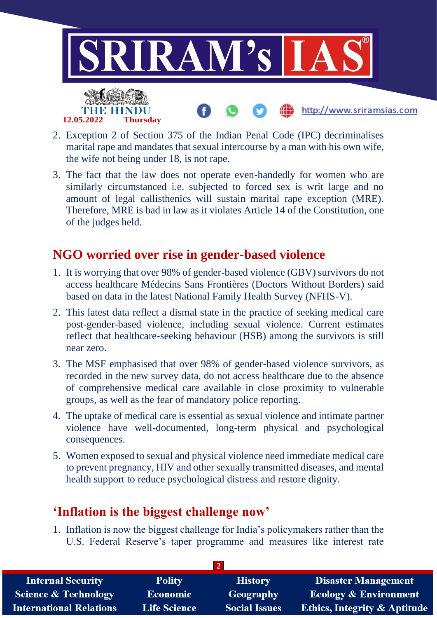

- 2. Exception 2 of Section 375 of the Indian Penal Code (IPC) decriminalises marital rape and mandates that sexual intercourse by a man with his own wife, the wife not being under 18, is not rape.
- 3. The fact that the law does not operate even-handedly for women who are similarly circumstanced i.e. subjected to forced sex is writ large and no amount of legal callisthenics will sustain marital rape exception (MRE). Therefore, MRE is bad in law as it violates Article 14 of the Constitution, one of the judges held.

#### **NGO worried over rise in gender-based violence**

- 1. It is worrying that over 98% of gender-based violence (GBV) survivors do not access healthcare Médecins Sans Frontières (Doctors Without Borders) said based on data in the latest National Family Health Survey (NFHS-V).
- 2. This latest data reflect a dismal state in the practice of seeking medical care post-gender-based violence, including sexual violence. Current estimates reflect that healthcare-seeking behaviour (HSB) among the survivors is still near zero.
- 3. The MSF emphasised that over 98% of gender-based violence survivors, as recorded in the new survey data, do not access healthcare due to the absence of comprehensive medical care available in close proximity to vulnerable groups, as well as the fear of mandatory police reporting.
- 4. The uptake of medical care is essential as sexual violence and intimate partner violence have well-documented, long-term physical and psychological consequences.
- 5. Women exposed to sexual and physical violence need immediate medical care to prevent pregnancy, HIV and other sexually transmitted diseases, and mental health support to reduce psychological distress and restore dignity.

### **'Inflation is the biggest challenge now'**

1. Inflation is now the biggest challenge for India's policymakers rather than the U.S. Federal Reserve's taper programme and measures like interest rate

| <b>Internal Security</b>        | <b>Polity</b>       | <b>History</b>       | <b>Disaster Management</b>              |  |  |
|---------------------------------|---------------------|----------------------|-----------------------------------------|--|--|
| <b>Science &amp; Technology</b> | Economic            | <b>Geography</b>     | Ecology & Environment                   |  |  |
| <b>International Relations</b>  | <b>Life Science</b> | <b>Social Issues</b> | <b>Ethics, Integrity &amp; Aptitude</b> |  |  |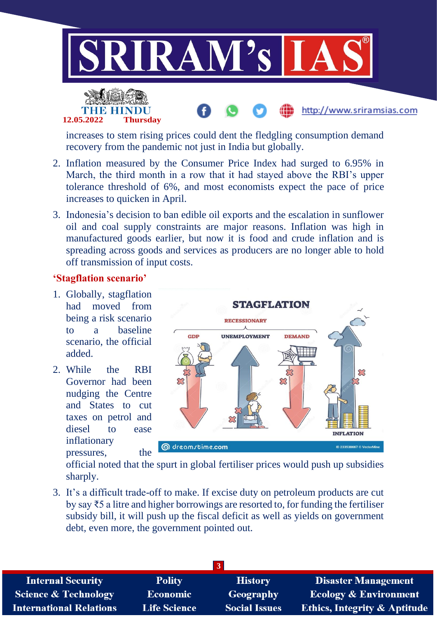

http://www.sriramsias.com



increases to stem rising prices could dent the fledgling consumption demand recovery from the pandemic not just in India but globally.

- 2. Inflation measured by the Consumer Price Index had surged to 6.95% in March, the third month in a row that it had stayed above the RBI's upper tolerance threshold of 6%, and most economists expect the pace of price increases to quicken in April.
- 3. Indonesia's decision to ban edible oil exports and the escalation in sunflower oil and coal supply constraints are major reasons. Inflation was high in manufactured goods earlier, but now it is food and crude inflation and is spreading across goods and services as producers are no longer able to hold off transmission of input costs.

#### **'Stagflation scenario'**

- 1. Globally, stagflation had moved from being a risk scenario to a baseline scenario, the official added.
- 2. While the RBI Governor had been nudging the Centre and States to cut taxes on petrol and diesel to ease inflationary pressures, the



official noted that the spurt in global fertiliser prices would push up subsidies sharply.

3. It's a difficult trade-off to make. If excise duty on petroleum products are cut by say ₹5 a litre and higher borrowings are resorted to, for funding the fertiliser subsidy bill, it will push up the fiscal deficit as well as yields on government debt, even more, the government pointed out.

| <b>Internal Security</b>        | <b>Polity</b>       | <b>History</b>       | <b>Disaster Management</b>              |
|---------------------------------|---------------------|----------------------|-----------------------------------------|
| <b>Science &amp; Technology</b> | Economic            | Geography            | <b>Ecology &amp; Environment</b>        |
| <b>International Relations</b>  | <b>Life Science</b> | <b>Social Issues</b> | <b>Ethics, Integrity &amp; Aptitude</b> |
|                                 |                     |                      |                                         |